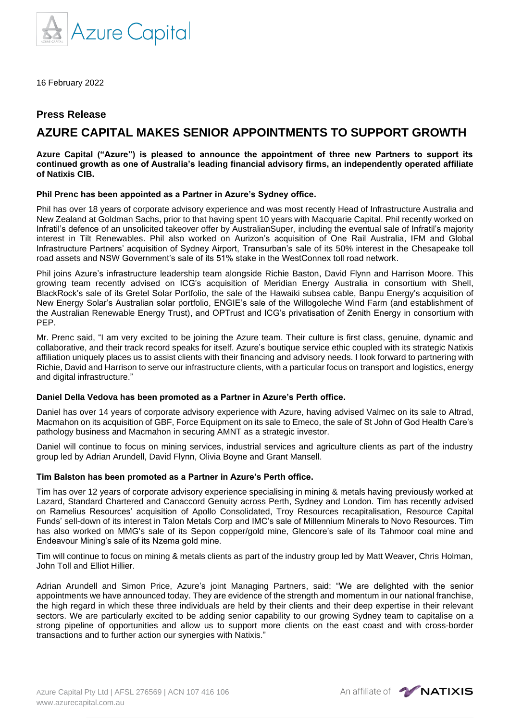

16 February 2022

# **Press Release**

# **AZURE CAPITAL MAKES SENIOR APPOINTMENTS TO SUPPORT GROWTH**

**Azure Capital ("Azure") is pleased to announce the appointment of three new Partners to support its continued growth as one of Australia's leading financial advisory firms, an independently operated affiliate of Natixis CIB.**

## **Phil Prenc has been appointed as a Partner in Azure's Sydney office.**

Phil has over 18 years of corporate advisory experience and was most recently Head of Infrastructure Australia and New Zealand at Goldman Sachs, prior to that having spent 10 years with Macquarie Capital. Phil recently worked on Infratil's defence of an unsolicited takeover offer by AustralianSuper, including the eventual sale of Infratil's majority interest in Tilt Renewables. Phil also worked on Aurizon's acquisition of One Rail Australia, IFM and Global Infrastructure Partners' acquisition of Sydney Airport, Transurban's sale of its 50% interest in the Chesapeake toll road assets and NSW Government's sale of its 51% stake in the WestConnex toll road network.

Phil joins Azure's infrastructure leadership team alongside Richie Baston, David Flynn and Harrison Moore. This growing team recently advised on ICG's acquisition of Meridian Energy Australia in consortium with Shell, BlackRock's sale of its Gretel Solar Portfolio, the sale of the Hawaiki subsea cable, Banpu Energy's acquisition of New Energy Solar's Australian solar portfolio, ENGIE's sale of the Willogoleche Wind Farm (and establishment of the Australian Renewable Energy Trust), and OPTrust and ICG's privatisation of Zenith Energy in consortium with PEP.

Mr. Prenc said, "I am very excited to be joining the Azure team. Their culture is first class, genuine, dynamic and collaborative, and their track record speaks for itself. Azure's boutique service ethic coupled with its strategic Natixis affiliation uniquely places us to assist clients with their financing and advisory needs. I look forward to partnering with Richie, David and Harrison to serve our infrastructure clients, with a particular focus on transport and logistics, energy and digital infrastructure."

# **Daniel Della Vedova has been promoted as a Partner in Azure's Perth office.**

Daniel has over 14 years of corporate advisory experience with Azure, having advised Valmec on its sale to Altrad, Macmahon on its acquisition of GBF, Force Equipment on its sale to Emeco, the sale of St John of God Health Care's pathology business and Macmahon in securing AMNT as a strategic investor.

Daniel will continue to focus on mining services, industrial services and agriculture clients as part of the industry group led by Adrian Arundell, David Flynn, Olivia Boyne and Grant Mansell.

#### **Tim Balston has been promoted as a Partner in Azure's Perth office.**

Tim has over 12 years of corporate advisory experience specialising in mining & metals having previously worked at Lazard, Standard Chartered and Canaccord Genuity across Perth, Sydney and London. Tim has recently advised on Ramelius Resources' acquisition of Apollo Consolidated, Troy Resources recapitalisation, Resource Capital Funds' sell-down of its interest in Talon Metals Corp and IMC's sale of Millennium Minerals to Novo Resources. Tim has also worked on MMG's sale of its Sepon copper/gold mine, Glencore's sale of its Tahmoor coal mine and Endeavour Mining's sale of its Nzema gold mine.

Tim will continue to focus on mining & metals clients as part of the industry group led by Matt Weaver, Chris Holman, John Toll and Elliot Hillier.

Adrian Arundell and Simon Price, Azure's joint Managing Partners, said: "We are delighted with the senior appointments we have announced today. They are evidence of the strength and momentum in our national franchise, the high regard in which these three individuals are held by their clients and their deep expertise in their relevant sectors. We are particularly excited to be adding senior capability to our growing Sydney team to capitalise on a strong pipeline of opportunities and allow us to support more clients on the east coast and with cross-border transactions and to further action our synergies with Natixis."